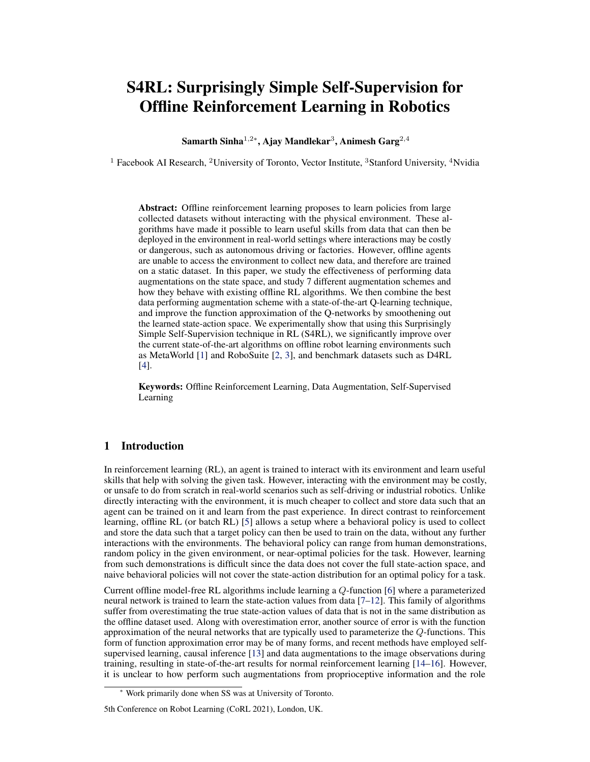# S4RL: Surprisingly Simple Self-Supervision for Offline Reinforcement Learning in Robotics

Samarth Sinha $^{1,2\ast},$  Ajay Mandlekar $^3,$  Animesh Garg $^{2,4}$ 

<sup>1</sup> Facebook AI Research, <sup>2</sup>University of Toronto, Vector Institute, <sup>3</sup>Stanford University, <sup>4</sup>Nvidia

Abstract: Offline reinforcement learning proposes to learn policies from large collected datasets without interacting with the physical environment. These algorithms have made it possible to learn useful skills from data that can then be deployed in the environment in real-world settings where interactions may be costly or dangerous, such as autonomous driving or factories. However, offline agents are unable to access the environment to collect new data, and therefore are trained on a static dataset. In this paper, we study the effectiveness of performing data augmentations on the state space, and study 7 different augmentation schemes and how they behave with existing offline RL algorithms. We then combine the best data performing augmentation scheme with a state-of-the-art Q-learning technique, and improve the function approximation of the Q-networks by smoothening out the learned state-action space. We experimentally show that using this Surprisingly Simple Self-Supervision technique in RL (S4RL), we significantly improve over the current state-of-the-art algorithms on offline robot learning environments such as MetaWorld [\[1\]](#page-8-0) and RoboSuite [\[2,](#page-8-0) [3\]](#page-8-0), and benchmark datasets such as D4RL [\[4\]](#page-8-0).

Keywords: Offline Reinforcement Learning, Data Augmentation, Self-Supervised Learning

# 1 Introduction

In reinforcement learning (RL), an agent is trained to interact with its environment and learn useful skills that help with solving the given task. However, interacting with the environment may be costly, or unsafe to do from scratch in real-world scenarios such as self-driving or industrial robotics. Unlike directly interacting with the environment, it is much cheaper to collect and store data such that an agent can be trained on it and learn from the past experience. In direct contrast to reinforcement learning, offline RL (or batch RL) [\[5\]](#page-8-0) allows a setup where a behavioral policy is used to collect and store the data such that a target policy can then be used to train on the data, without any further interactions with the environments. The behavioral policy can range from human demonstrations, random policy in the given environment, or near-optimal policies for the task. However, learning from such demonstrations is difficult since the data does not cover the full state-action space, and naive behavioral policies will not cover the state-action distribution for an optimal policy for a task.

Current offline model-free RL algorithms include learning a Q-function [\[6\]](#page-8-0) where a parameterized neural network is trained to learn the state-action values from data [\[7–12\]](#page-8-0). This family of algorithms suffer from overestimating the true state-action values of data that is not in the same distribution as the offline dataset used. Along with overestimation error, another source of error is with the function approximation of the neural networks that are typically used to parameterize the Q-functions. This form of function approximation error may be of many forms, and recent methods have employed selfsupervised learning, causal inference [\[13\]](#page-8-0) and data augmentations to the image observations during training, resulting in state-of-the-art results for normal reinforcement learning [\[14–16\]](#page-8-0). However, it is unclear to how perform such augmentations from proprioceptive information and the role

<sup>∗</sup> Work primarily done when SS was at University of Toronto.

<sup>5</sup>th Conference on Robot Learning (CoRL 2021), London, UK.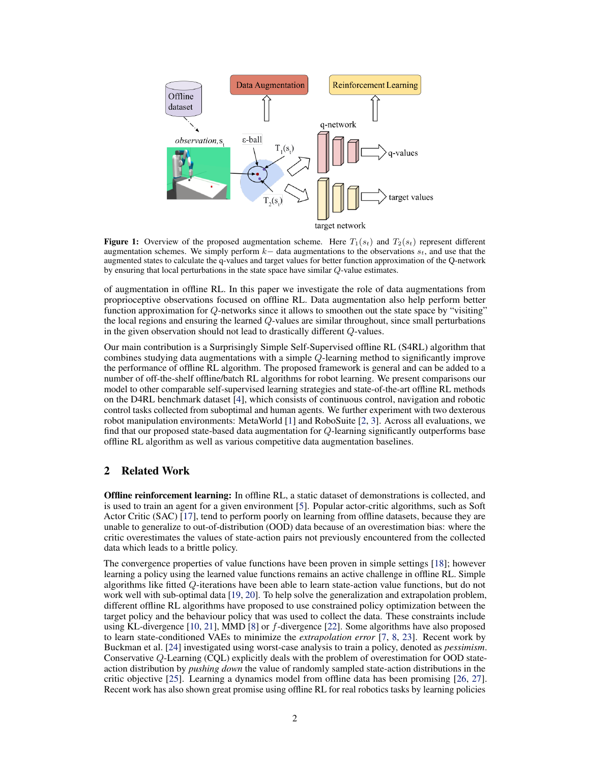<span id="page-1-0"></span>

**Figure 1:** Overview of the proposed augmentation scheme. Here  $T_1(s_t)$  and  $T_2(s_t)$  represent different augmentation schemes. We simply perform  $k-$  data augmentations to the observations  $s_t$ , and use that the augmented states to calculate the q-values and target values for better function approximation of the Q-network by ensuring that local perturbations in the state space have similar Q-value estimates.

of augmentation in offline RL. In this paper we investigate the role of data augmentations from proprioceptive observations focused on offline RL. Data augmentation also help perform better function approximation for Q-networks since it allows to smoothen out the state space by "visiting" the local regions and ensuring the learned  $Q$ -values are similar throughout, since small perturbations in the given observation should not lead to drastically different Q-values.

Our main contribution is a Surprisingly Simple Self-Supervised offline RL (S4RL) algorithm that combines studying data augmentations with a simple Q-learning method to significantly improve the performance of offline RL algorithm. The proposed framework is general and can be added to a number of off-the-shelf offline/batch RL algorithms for robot learning. We present comparisons our model to other comparable self-supervised learning strategies and state-of-the-art offline RL methods on the D4RL benchmark dataset [\[4\]](#page-8-0), which consists of continuous control, navigation and robotic control tasks collected from suboptimal and human agents. We further experiment with two dexterous robot manipulation environments: MetaWorld [\[1\]](#page-8-0) and RoboSuite [\[2,](#page-8-0) [3\]](#page-8-0). Across all evaluations, we find that our proposed state-based data augmentation for Q-learning significantly outperforms base offline RL algorithm as well as various competitive data augmentation baselines.

# 2 Related Work

Offline reinforcement learning: In offline RL, a static dataset of demonstrations is collected, and is used to train an agent for a given environment [\[5\]](#page-8-0). Popular actor-critic algorithms, such as Soft Actor Critic (SAC) [\[17\]](#page-8-0), tend to perform poorly on learning from offline datasets, because they are unable to generalize to out-of-distribution (OOD) data because of an overestimation bias: where the critic overestimates the values of state-action pairs not previously encountered from the collected data which leads to a brittle policy.

The convergence properties of value functions have been proven in simple settings [\[18\]](#page-8-0); however learning a policy using the learned value functions remains an active challenge in offline RL. Simple algorithms like fitted Q-iterations have been able to learn state-action value functions, but do not work well with sub-optimal data [\[19,](#page-8-0) [20\]](#page-9-0). To help solve the generalization and extrapolation problem, different offline RL algorithms have proposed to use constrained policy optimization between the target policy and the behaviour policy that was used to collect the data. These constraints include using KL-divergence [\[10,](#page-8-0) [21\]](#page-9-0), MMD [\[8\]](#page-8-0) or f-divergence [\[22\]](#page-9-0). Some algorithms have also proposed to learn state-conditioned VAEs to minimize the *extrapolation error* [\[7,](#page-8-0) [8,](#page-8-0) [23\]](#page-9-0). Recent work by Buckman et al. [\[24\]](#page-9-0) investigated using worst-case analysis to train a policy, denoted as *pessimism*. Conservative Q-Learning (CQL) explicitly deals with the problem of overestimation for OOD stateaction distribution by *pushing down* the value of randomly sampled state-action distributions in the critic objective [\[25\]](#page-9-0). Learning a dynamics model from offline data has been promising [\[26,](#page-9-0) [27\]](#page-9-0). Recent work has also shown great promise using offline RL for real robotics tasks by learning policies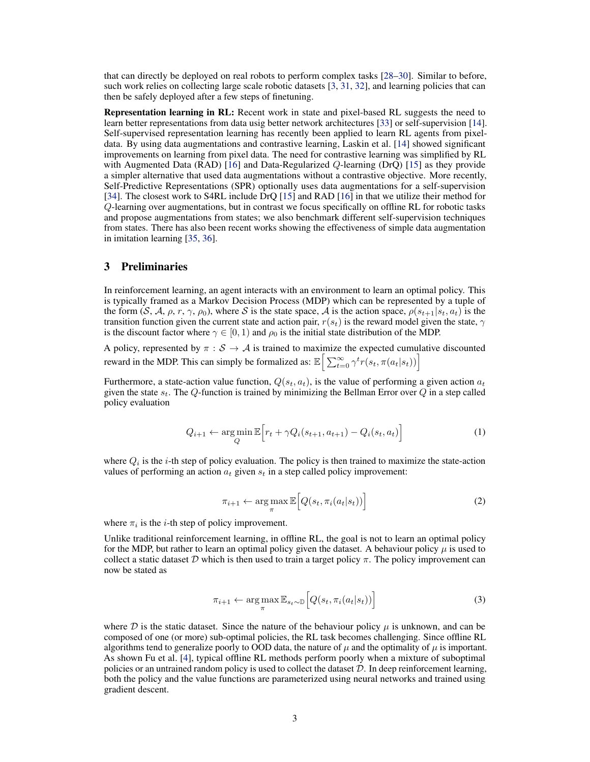<span id="page-2-0"></span>that can directly be deployed on real robots to perform complex tasks [\[28–30\]](#page-9-0). Similar to before, such work relies on collecting large scale robotic datasets [\[3,](#page-8-0) [31,](#page-9-0) [32\]](#page-9-0), and learning policies that can then be safely deployed after a few steps of finetuning.

Representation learning in RL: Recent work in state and pixel-based RL suggests the need to learn better representations from data usig better network architectures [\[33\]](#page-9-0) or self-supervision [\[14\]](#page-8-0). Self-supervised representation learning has recently been applied to learn RL agents from pixeldata. By using data augmentations and contrastive learning, Laskin et al. [\[14\]](#page-8-0) showed significant improvements on learning from pixel data. The need for contrastive learning was simplified by RL with Augmented Data (RAD) [\[16\]](#page-8-0) and Data-Regularized Q-learning (DrQ) [\[15\]](#page-8-0) as they provide a simpler alternative that used data augmentations without a contrastive objective. More recently, Self-Predictive Representations (SPR) optionally uses data augmentations for a self-supervision [\[34\]](#page-9-0). The closest work to S4RL include DrQ [\[15\]](#page-8-0) and RAD [\[16\]](#page-8-0) in that we utilize their method for Q-learning over augmentations, but in contrast we focus specifically on offline RL for robotic tasks and propose augmentations from states; we also benchmark different self-supervision techniques from states. There has also been recent works showing the effectiveness of simple data augmentation in imitation learning [\[35,](#page-9-0) [36\]](#page-9-0).

## 3 Preliminaries

In reinforcement learning, an agent interacts with an environment to learn an optimal policy. This is typically framed as a Markov Decision Process (MDP) which can be represented by a tuple of the form  $(S, A, \rho, r, \gamma, \rho_0)$ , where S is the state space, A is the action space,  $\rho(s_{t+1}|s_t, a_t)$  is the transition function given the current state and action pair,  $r(s_t)$  is the reward model given the state,  $\gamma$ is the discount factor where  $\gamma \in [0, 1)$  and  $\rho_0$  is the initial state distribution of the MDP.

A policy, represented by  $\pi : S \to A$  is trained to maximize the expected cumulative discounted reward in the MDP. This can simply be formalized as:  $\mathbb{E}\Big[\sum_{t=0}^{\infty} \gamma^t r(s_t, \pi(a_t|s_t))\Big]$ 

Furthermore, a state-action value function,  $Q(s_t, a_t)$ , is the value of performing a given action  $a_t$ given the state  $s_t$ . The Q-function is trained by minimizing the Bellman Error over Q in a step called policy evaluation

$$
Q_{i+1} \leftarrow \underset{Q}{\arg\min} \mathbb{E}\Big[r_t + \gamma Q_i(s_{t+1}, a_{t+1}) - Q_i(s_t, a_t)\Big]
$$
 (1)

where  $Q_i$  is the *i*-th step of policy evaluation. The policy is then trained to maximize the state-action values of performing an action  $a_t$  given  $s_t$  in a step called policy improvement:

$$
\pi_{i+1} \leftarrow \arg\max_{\pi} \mathbb{E}\Big[Q(s_t, \pi_i(a_t|s_t))\Big] \tag{2}
$$

where  $\pi_i$  is the *i*-th step of policy improvement.

Unlike traditional reinforcement learning, in offline RL, the goal is not to learn an optimal policy for the MDP, but rather to learn an optimal policy given the dataset. A behaviour policy  $\mu$  is used to collect a static dataset D which is then used to train a target policy  $\pi$ . The policy improvement can now be stated as

$$
\pi_{i+1} \leftarrow \arg\max_{\pi} \mathbb{E}_{s_t \sim \mathbb{D}} \left[ Q(s_t, \pi_i(a_t|s_t)) \right] \tag{3}
$$

where D is the static dataset. Since the nature of the behaviour policy  $\mu$  is unknown, and can be composed of one (or more) sub-optimal policies, the RL task becomes challenging. Since offline RL algorithms tend to generalize poorly to OOD data, the nature of  $\mu$  and the optimality of  $\mu$  is important. As shown Fu et al. [\[4\]](#page-8-0), typical offline RL methods perform poorly when a mixture of suboptimal policies or an untrained random policy is used to collect the dataset  $D$ . In deep reinforcement learning, both the policy and the value functions are parameterized using neural networks and trained using gradient descent.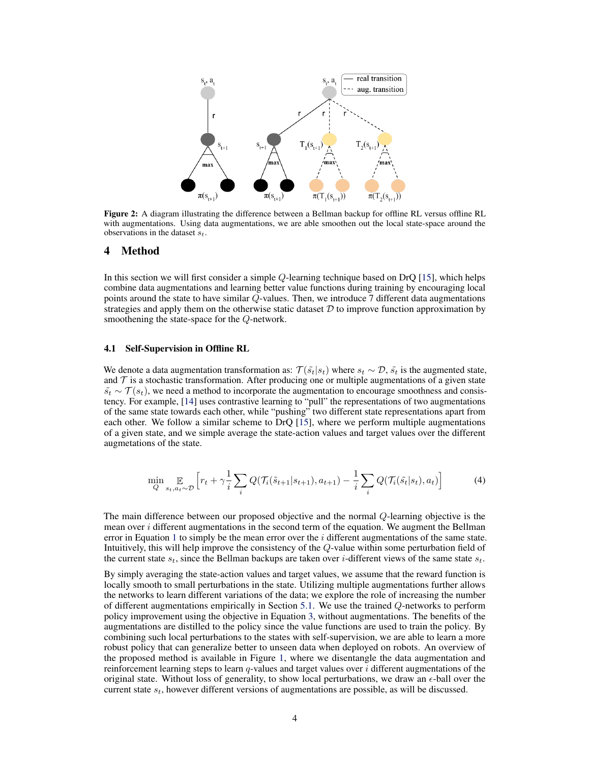<span id="page-3-0"></span>

Figure 2: A diagram illustrating the difference between a Bellman backup for offline RL versus offline RL with augmentations. Using data augmentations, we are able smoothen out the local state-space around the observations in the dataset  $s_t$ .

## 4 Method

In this section we will first consider a simple Q-learning technique based on DrQ [\[15\]](#page-8-0), which helps combine data augmentations and learning better value functions during training by encouraging local points around the state to have similar Q-values. Then, we introduce 7 different data augmentations strategies and apply them on the otherwise static dataset  $D$  to improve function approximation by smoothening the state-space for the Q-network.

## 4.1 Self-Supervision in Offline RL

We denote a data augmentation transformation as:  $\mathcal{T}(\tilde{s}_t|s_t)$  where  $s_t \sim \mathcal{D}, \tilde{s}_t$  is the augmented state, and  $\mathcal T$  is a stochastic transformation. After producing one or multiple augmentations of a given state  $\tilde{s}_t \sim \mathcal{T}(s_t)$ , we need a method to incorporate the augmentation to encourage smoothness and consistency. For example, [\[14\]](#page-8-0) uses contrastive learning to "pull" the representations of two augmentations of the same state towards each other, while "pushing" two different state representations apart from each other. We follow a similar scheme to DrQ [\[15\]](#page-8-0), where we perform multiple augmentations of a given state, and we simple average the state-action values and target values over the different augmetations of the state.

$$
\min_{Q} \mathop{\mathbb{E}}_{s_t, a_t \sim \mathcal{D}} \left[ r_t + \gamma \frac{1}{i} \sum_{i} Q(\mathcal{T}_i(\tilde{s}_{t+1} | s_{t+1}), a_{t+1}) - \frac{1}{i} \sum_{i} Q(\mathcal{T}_i(\tilde{s}_t | s_t), a_t) \right]
$$
(4)

The main difference between our proposed objective and the normal Q-learning objective is the mean over *i* different augmentations in the second term of the equation. We augment the Bellman error in Equation [1](#page-2-0) to simply be the mean error over the  $i$  different augmentations of the same state. Intuitively, this will help improve the consistency of the Q-value within some perturbation field of the current state  $s_t$ , since the Bellman backups are taken over *i*-different views of the same state  $s_t$ .

By simply averaging the state-action values and target values, we assume that the reward function is locally smooth to small perturbations in the state. Utilizing multiple augmentations further allows the networks to learn different variations of the data; we explore the role of increasing the number of different augmentations empirically in Section [5.1.](#page-5-0) We use the trained Q-networks to perform policy improvement using the objective in Equation [3,](#page-2-0) without augmentations. The benefits of the augmentations are distilled to the policy since the value functions are used to train the policy. By combining such local perturbations to the states with self-supervision, we are able to learn a more robust policy that can generalize better to unseen data when deployed on robots. An overview of the proposed method is available in Figure [1,](#page-1-0) where we disentangle the data augmentation and reinforcement learning steps to learn  $q$ -values and target values over  $i$  different augmentations of the original state. Without loss of generality, to show local perturbations, we draw an  $\epsilon$ -ball over the current state  $s_t$ , however different versions of augmentations are possible, as will be discussed.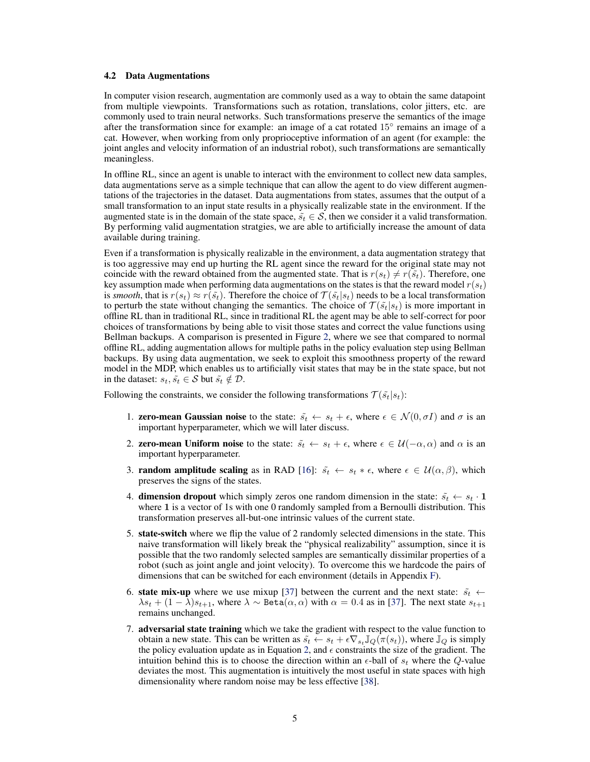#### 4.2 Data Augmentations

In computer vision research, augmentation are commonly used as a way to obtain the same datapoint from multiple viewpoints. Transformations such as rotation, translations, color jitters, etc. are commonly used to train neural networks. Such transformations preserve the semantics of the image after the transformation since for example: an image of a cat rotated 15◦ remains an image of a cat. However, when working from only proprioceptive information of an agent (for example: the joint angles and velocity information of an industrial robot), such transformations are semantically meaningless.

In offline RL, since an agent is unable to interact with the environment to collect new data samples, data augmentations serve as a simple technique that can allow the agent to do view different augmentations of the trajectories in the dataset. Data augmentations from states, assumes that the output of a small transformation to an input state results in a physically realizable state in the environment. If the augmented state is in the domain of the state space,  $\tilde{s}_t \in S$ , then we consider it a valid transformation. By performing valid augmentation stratgies, we are able to artificially increase the amount of data available during training.

Even if a transformation is physically realizable in the environment, a data augmentation strategy that is too aggressive may end up hurting the RL agent since the reward for the original state may not coincide with the reward obtained from the augmented state. That is  $r(s_t) \neq r(\tilde{s}_t)$ . Therefore, one key assumption made when performing data augmentations on the states is that the reward model  $r(s_t)$ is *smooth*, that is  $r(s_t) \approx r(\tilde{s}_t)$ . Therefore the choice of  $\mathcal{T}(\tilde{s}_t|s_t)$  needs to be a local transformation to perturb the state without changing the semantics. The choice of  $\mathcal{T}(\tilde{s}_t|s_t)$  is more important in offline RL than in traditional RL, since in traditional RL the agent may be able to self-correct for poor choices of transformations by being able to visit those states and correct the value functions using Bellman backups. A comparison is presented in Figure [2,](#page-3-0) where we see that compared to normal offline RL, adding augmentation allows for multiple paths in the policy evaluation step using Bellman backups. By using data augmentation, we seek to exploit this smoothness property of the reward model in the MDP, which enables us to artificially visit states that may be in the state space, but not in the dataset:  $s_t$ ,  $\tilde{s_t} \in S$  but  $\tilde{s_t} \notin \mathcal{D}$ .

Following the constraints, we consider the following transformations  $\mathcal{T}(\tilde{s}_t|s_t)$ :

- 1. **zero-mean Gaussian noise** to the state:  $\tilde{s}_t \leftarrow s_t + \epsilon$ , where  $\epsilon \in \mathcal{N}(0, \sigma I)$  and  $\sigma$  is an important hyperparameter, which we will later discuss.
- 2. **zero-mean Uniform noise** to the state:  $\tilde{s}_t \leftarrow s_t + \epsilon$ , where  $\epsilon \in \mathcal{U}(-\alpha, \alpha)$  and  $\alpha$  is an important hyperparameter.
- 3. **random amplitude scaling** as in RAD [\[16\]](#page-8-0):  $\tilde{s}_t \leftarrow s_t * \epsilon$ , where  $\epsilon \in \mathcal{U}(\alpha, \beta)$ , which preserves the signs of the states.
- 4. **dimension dropout** which simply zeros one random dimension in the state:  $\tilde{s}_t \leftarrow s_t \cdot \mathbf{1}$ where 1 is a vector of 1s with one 0 randomly sampled from a Bernoulli distribution. This transformation preserves all-but-one intrinsic values of the current state.
- 5. state-switch where we flip the value of 2 randomly selected dimensions in the state. This naive transformation will likely break the "physical realizability" assumption, since it is possible that the two randomly selected samples are semantically dissimilar properties of a robot (such as joint angle and joint velocity). To overcome this we hardcode the pairs of dimensions that can be switched for each environment (details in Appendix F).
- 6. state mix-up where we use mixup [\[37\]](#page-9-0) between the current and the next state:  $\tilde{s}_t \leftarrow$  $\lambda s_t + (1 - \lambda)s_{t+1}$ , where  $\lambda \sim \text{Beta}(\alpha, \alpha)$  with  $\alpha = 0.4$  as in [\[37\]](#page-9-0). The next state  $s_{t+1}$ remains unchanged.
- 7. adversarial state training which we take the gradient with respect to the value function to obtain a new state. This can be written as  $\tilde{s}_t \leftarrow s_t + \epsilon \nabla_{s_t} \mathbb{J}_Q(\pi(s_t))$ , where  $\mathbb{J}_Q$  is simply the policy evaluation update as in Equation [2,](#page-2-0) and  $\epsilon$  constraints the size of the gradient. The intuition behind this is to choose the direction within an  $\epsilon$ -ball of  $s_t$  where the Q-value deviates the most. This augmentation is intuitively the most useful in state spaces with high dimensionality where random noise may be less effective [\[38\]](#page-9-0).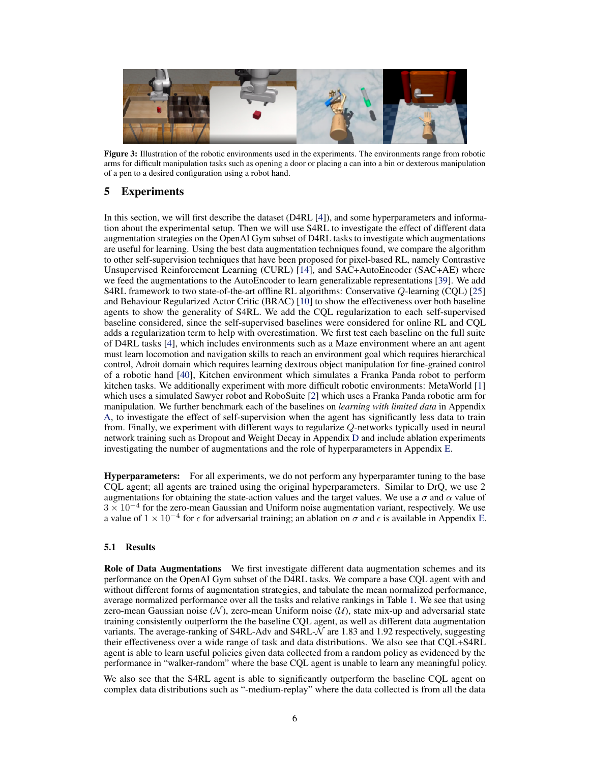<span id="page-5-0"></span>

Figure 3: Illustration of the robotic environments used in the experiments. The environments range from robotic arms for difficult manipulation tasks such as opening a door or placing a can into a bin or dexterous manipulation of a pen to a desired configuration using a robot hand.

# 5 Experiments

In this section, we will first describe the dataset (D4RL [\[4\]](#page-8-0)), and some hyperparameters and information about the experimental setup. Then we will use S4RL to investigate the effect of different data augmentation strategies on the OpenAI Gym subset of D4RL tasks to investigate which augmentations are useful for learning. Using the best data augmentation techniques found, we compare the algorithm to other self-supervision techniques that have been proposed for pixel-based RL, namely Contrastive Unsupervised Reinforcement Learning (CURL) [\[14\]](#page-8-0), and SAC+AutoEncoder (SAC+AE) where we feed the augmentations to the AutoEncoder to learn generalizable representations [\[39\]](#page-9-0). We add S4RL framework to two state-of-the-art offline RL algorithms: Conservative Q-learning (CQL) [\[25\]](#page-9-0) and Behaviour Regularized Actor Critic (BRAC) [\[10\]](#page-8-0) to show the effectiveness over both baseline agents to show the generality of S4RL. We add the CQL regularization to each self-supervised baseline considered, since the self-supervised baselines were considered for online RL and CQL adds a regularization term to help with overestimation. We first test each baseline on the full suite of D4RL tasks [\[4\]](#page-8-0), which includes environments such as a Maze environment where an ant agent must learn locomotion and navigation skills to reach an environment goal which requires hierarchical control, Adroit domain which requires learning dextrous object manipulation for fine-grained control of a robotic hand [\[40\]](#page-9-0), Kitchen environment which simulates a Franka Panda robot to perform kitchen tasks. We additionally experiment with more difficult robotic environments: MetaWorld [\[1\]](#page-8-0) which uses a simulated Sawyer robot and RoboSuite [\[2\]](#page-8-0) which uses a Franka Panda robotic arm for manipulation. We further benchmark each of the baselines on *learning with limited data* in Appendix A, to investigate the effect of self-supervision when the agent has significantly less data to train from. Finally, we experiment with different ways to regularize Q-networks typically used in neural network training such as Dropout and Weight Decay in Appendix D and include ablation experiments investigating the number of augmentations and the role of hyperparameters in Appendix E.

Hyperparameters: For all experiments, we do not perform any hyperparamter tuning to the base CQL agent; all agents are trained using the original hyperparameters. Similar to DrQ, we use 2 augmentations for obtaining the state-action values and the target values. We use a  $\sigma$  and  $\alpha$  value of 3 × 10<sup>−</sup><sup>4</sup> for the zero-mean Gaussian and Uniform noise augmentation variant, respectively. We use a value of  $1 \times 10^{-4}$  for  $\epsilon$  for adversarial training; an ablation on  $\sigma$  and  $\epsilon$  is available in Appendix E.

## 5.1 Results

Role of Data Augmentations We first investigate different data augmentation schemes and its performance on the OpenAI Gym subset of the D4RL tasks. We compare a base CQL agent with and without different forms of augmentation strategies, and tabulate the mean normalized performance, average normalized performance over all the tasks and relative rankings in Table [1.](#page-6-0) We see that using zero-mean Gaussian noise ( $N$ ), zero-mean Uniform noise ( $U$ ), state mix-up and adversarial state training consistently outperform the the baseline CQL agent, as well as different data augmentation variants. The average-ranking of S4RL-Adv and S4RL-N are 1.83 and 1.92 respectively, suggesting their effectiveness over a wide range of task and data distributions. We also see that CQL+S4RL agent is able to learn useful policies given data collected from a random policy as evidenced by the performance in "walker-random" where the base CQL agent is unable to learn any meaningful policy.

We also see that the S4RL agent is able to significantly outperform the baseline CQL agent on complex data distributions such as "-medium-replay" where the data collected is from all the data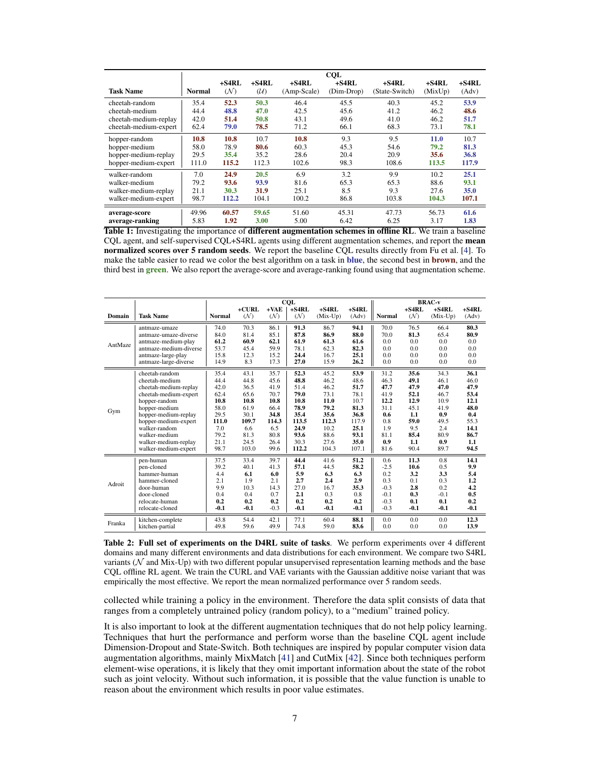<span id="page-6-0"></span>

|                       | <b>CQL</b>    |              |                 |                        |                       |                           |                  |                  |  |  |
|-----------------------|---------------|--------------|-----------------|------------------------|-----------------------|---------------------------|------------------|------------------|--|--|
| <b>Task Name</b>      | <b>Normal</b> | +S4RL<br>(N) | $+$ S4RL<br>(U) | $+S4RL$<br>(Amp-Scale) | $+S4RL$<br>(Dim-Drop) | $+S4RL$<br>(State-Switch) | +S4RL<br>(MixUp) | $+S4RL$<br>(Adv) |  |  |
|                       |               |              |                 |                        |                       |                           |                  |                  |  |  |
| cheetah-random        | 35.4          | 52.3         | 50.3            | 46.4                   | 45.5                  | 40.3                      | 45.2             | 53.9             |  |  |
| cheetah-medium        | 44.4          | 48.8         | 47.0            | 42.5                   | 45.6                  | 41.2                      | 46.2             | 48.6             |  |  |
| cheetah-medium-replay | 42.0          | 51.4         | 50.8            | 43.1                   | 49.6                  | 41.0                      | 46.2             | 51.7             |  |  |
| cheetah-medium-expert | 62.4          | 79.0         | 78.5            | 71.2                   | 66.1                  | 68.3                      | 73.1             | 78.1             |  |  |
| hopper-random         | 10.8          | 10.8         | 10.7            | 10.8                   | 9.3                   | 9.5                       | 11.0             | 10.7             |  |  |
| hopper-medium         | 58.0          | 78.9         | 80.6            | 60.3                   | 45.3                  | 54.6                      | 79.2             | 81.3             |  |  |
| hopper-medium-replay  | 29.5          | 35.4         | 35.2            | 28.6                   | 20.4                  | 20.9                      | 35.6             | 36.8             |  |  |
| hopper-medium-expert  | 111.0         | 115.2        | 112.3           | 102.6                  | 98.3                  | 108.6                     | 113.5            | 117.9            |  |  |
| walker-random         | 7.0           | 24.9         | 20.5            | 6.9                    | 3.2                   | 9.9                       | 10.2             | 25.1             |  |  |
| walker-medium         | 79.2          | 93.6         | 93.9            | 81.6                   | 65.3                  | 65.3                      | 88.6             | 93.1             |  |  |
| walker-medium-replay  | 21.1          | 30.3         | 31.9            | 25.1                   | 8.5                   | 9.3                       | 27.6             | 35.0             |  |  |
| walker-medium-expert  | 98.7          | 112.2        | 104.1           | 100.2                  | 86.8                  | 103.8                     | 104.3            | 107.1            |  |  |
| average-score         | 49.96         | 60.57        | 59.65           | 51.60                  | 45.31                 | 47.73                     | 56.73            | 61.6             |  |  |
| average-ranking       | 5.83          | 1.92         | 3.00            | 5.00                   | 6.42                  | 6.25                      | 3.17             | 1.83             |  |  |

Table 1: Investigating the importance of different augmentation schemes in offline RL. We train a baseline CQL agent, and self-supervised CQL+S4RL agents using different augmentation schemes, and report the mean normalized scores over 5 random seeds. We report the baseline CQL results directly from Fu et al. [\[4\]](#page-8-0). To make the table easier to read we color the best algorithm on a task in blue, the second best in **brown**, and the third best in green. We also report the average-score and average-ranking found using that augmentation scheme.

|         |                        | <b>CQL</b>    |          |        |          | <b>BRAC-v</b> |          |               |         |            |         |
|---------|------------------------|---------------|----------|--------|----------|---------------|----------|---------------|---------|------------|---------|
|         |                        |               | $+CIIRL$ | $+VAE$ | $+$ S4RL | $+$ S4RL      | $+$ S4RL |               | $+S4RL$ | $+$ S4RL   | $+S4RL$ |
| Domain  | <b>Task Name</b>       | <b>Normal</b> | (N)      | (N)    | (N)      | $(Mix-Up)$    | (Adv)    | <b>Normal</b> | (N)     | $(Mix-Up)$ | (Adv)   |
| AntMaze | antmaze-umaze          | 74.0          | 70.3     | 86.1   | 91.3     | 86.7          | 94.1     | 70.0          | 76.5    | 66.4       | 80.3    |
|         | antmaze-umaze-diverse  | 84.0          | 81.4     | 85.1   | 87.8     | 86.9          | 88.0     | 70.0          | 81.3    | 65.4       | 80.9    |
|         | antmaze-medium-play    | 61.2          | 60.9     | 62.1   | 61.9     | 61.3          | 61.6     | 0.0           | 0.0     | 0.0        | 0.0     |
|         | antmaze-medium-diverse | 53.7          | 45.4     | 59.9   | 78.1     | 62.3          | 82.3     | 0.0           | 0.0     | 0.0        | 0.0     |
|         | antmaze-large-play     | 15.8          | 12.3     | 15.2   | 24.4     | 16.7          | 25.1     | 0.0           | 0.0     | 0.0        | 0.0     |
|         | antmaze-large-diverse  | 14.9          | 8.3      | 17.3   | 27.0     | 15.9          | 26.2     | 0.0           | 0.0     | 0.0        | 0.0     |
| Gym     | cheetah-random         | 35.4          | 43.1     | 35.7   | 52.3     | 45.2          | 53.9     | 31.2          | 35.6    | 34.3       | 36.1    |
|         | cheetah-medium         | 44.4          | 44.8     | 45.6   | 48.8     | 46.2          | 48.6     | 46.3          | 49.1    | 46.1       | 46.0    |
|         | cheetah-medium-replay  | 42.0          | 36.5     | 41.9   | 51.4     | 46.2          | 51.7     | 47.7          | 47.9    | 47.0       | 47.9    |
|         | cheetah-medium-expert  | 62.4          | 65.6     | 70.7   | 79.0     | 73.1          | 78.1     | 41.9          | 52.1    | 46.7       | 53.4    |
|         | hopper-random          | 10.8          | 10.8     | 10.8   | 10.8     | 11.0          | 10.7     | 12.2          | 12.9    | 10.9       | 12.1    |
|         | hopper-medium          | 58.0          | 61.9     | 66.4   | 78.9     | 79.2          | 81.3     | 31.1          | 45.1    | 41.9       | 48.0    |
|         | hopper-medium-replay   | 29.5          | 30.1     | 34.8   | 35.4     | 35.6          | 36.8     | 0.6           | 1.1     | 0.9        | 0.4     |
|         | hopper-medium-expert   | 111.0         | 109.7    | 114.3  | 113.5    | 112.3         | 117.9    | 0.8           | 59.0    | 49.5       | 55.3    |
|         | walker-random          | 7.0           | 6.6      | 6.5    | 24.9     | 10.2          | 25.1     | 1.9           | 9.5     | 2.4        | 14.1    |
|         | walker-medium          | 79.2          | 81.3     | 80.8   | 93.6     | 88.6          | 93.1     | 81.1          | 85.4    | 80.9       | 86.7    |
|         | walker-medium-replay   | 21.1          | 24.5     | 26.4   | 30.3     | 27.6          | 35.0     | 0.9           | 1.1     | 0.9        | 1.1     |
|         | walker-medium-expert   | 98.7          | 103.0    | 99.6   | 112.2    | 104.3         | 107.1    | 81.6          | 90.4    | 89.7       | 94.5    |
| Adroit  | pen-human              | 37.5          | 33.4     | 39.7   | 44.4     | 41.6          | 51.2     | 0.6           | 11.3    | 0.8        | 14.1    |
|         | pen-cloned             | 39.2          | 40.1     | 41.3   | 57.1     | 44.5          | 58.2     | $-2.5$        | 10.6    | 0.5        | 9.9     |
|         | hammer-human           | 4.4           | 6.1      | 6.0    | 5.9      | 6.3           | 6.3      | 0.2           | 3.2     | 3.3        | 5.4     |
|         | hammer-cloned          | 2.1           | 1.9      | 2.1    | 2.7      | 2.4           | 2.9      | 0.3           | 0.1     | 0.3        | 1.2     |
|         | door-human             | 9.9           | 10.3     | 14.3   | 27.0     | 16.7          | 35.3     | $-0.3$        | 2.8     | 0.2        | 4.2     |
|         | door-cloned            | 0.4           | 0.4      | 0.7    | 2.1      | 0.3           | 0.8      | $-0.1$        | 0.3     | $-0.1$     | 0.5     |
|         | relocate-human         | 0.2           | 0.2      | 0.2    | 0.2      | 0.2           | 0.2      | $-0.3$        | 0.1     | 0.1        | 0.2     |
|         | relocate-cloned        | $-0.1$        | $-0.1$   | $-0.3$ | $-0.1$   | $-0.1$        | $-0.1$   | $-0.3$        | $-0.1$  | $-0.1$     | $-0.1$  |
| Franka  | kitchen-complete       | 43.8          | 54.4     | 42.1   | 77.1     | 60.4          | 88.1     | 0.0           | 0.0     | 0.0        | 12.3    |
|         | kitchen-partial        | 49.8          | 59.6     | 49.9   | 74.8     | 59.0          | 83.6     | 0.0           | 0.0     | 0.0        | 13.9    |

Table 2: Full set of experiments on the D4RL suite of tasks. We perform experiments over 4 different domains and many different environments and data distributions for each environment. We compare two S4RL variants (N and Mix-Up) with two different popular unsupervised representation learning methods and the base CQL offline RL agent. We train the CURL and VAE variants with the Gaussian additive noise variant that was empirically the most effective. We report the mean normalized performance over 5 random seeds.

collected while training a policy in the environment. Therefore the data split consists of data that ranges from a completely untrained policy (random policy), to a "medium" trained policy.

It is also important to look at the different augmentation techniques that do not help policy learning. Techniques that hurt the performance and perform worse than the baseline CQL agent include Dimension-Dropout and State-Switch. Both techniques are inspired by popular computer vision data augmentation algorithms, mainly MixMatch [\[41\]](#page-9-0) and CutMix [\[42\]](#page-10-0). Since both techniques perform element-wise operations, it is likely that they omit important information about the state of the robot such as joint velocity. Without such information, it is possible that the value function is unable to reason about the environment which results in poor value estimates.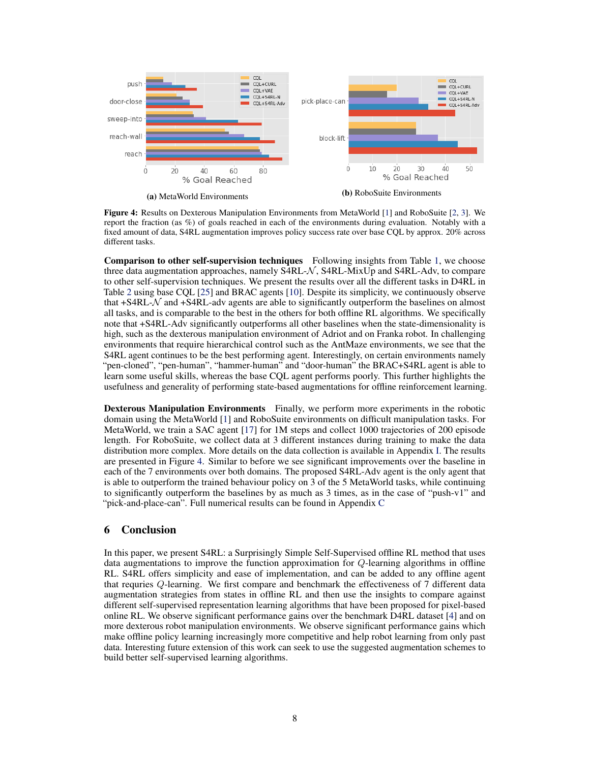

Figure 4: Results on Dexterous Manipulation Environments from MetaWorld [\[1\]](#page-8-0) and RoboSuite [\[2,](#page-8-0) [3\]](#page-8-0). We report the fraction (as %) of goals reached in each of the environments during evaluation. Notably with a fixed amount of data, S4RL augmentation improves policy success rate over base CQL by approx. 20% across different tasks.

Comparison to other self-supervision techniques Following insights from Table [1,](#page-6-0) we choose three data augmentation approaches, namely S4RL- $\mathcal{N}$ , S4RL-MixUp and S4RL-Adv, to compare to other self-supervision techniques. We present the results over all the different tasks in D4RL in Table [2](#page-6-0) using base CQL [\[25\]](#page-9-0) and BRAC agents [\[10\]](#page-8-0). Despite its simplicity, we continuously observe that  $+S4RL-\mathcal{N}$  and  $+S4RL$ -adv agents are able to significantly outperform the baselines on almost all tasks, and is comparable to the best in the others for both offline RL algorithms. We specifically note that +S4RL-Adv significantly outperforms all other baselines when the state-dimensionality is high, such as the dexterous manipulation environment of Adriot and on Franka robot. In challenging environments that require hierarchical control such as the AntMaze environments, we see that the S4RL agent continues to be the best performing agent. Interestingly, on certain environments namely "pen-cloned", "pen-human", "hammer-human" and "door-human" the BRAC+S4RL agent is able to learn some useful skills, whereas the base CQL agent performs poorly. This further highlights the usefulness and generality of performing state-based augmentations for offline reinforcement learning.

Dexterous Manipulation Environments Finally, we perform more experiments in the robotic domain using the MetaWorld [\[1\]](#page-8-0) and RoboSuite environments on difficult manipulation tasks. For MetaWorld, we train a SAC agent [\[17\]](#page-8-0) for 1M steps and collect 1000 trajectories of 200 episode length. For RoboSuite, we collect data at 3 different instances during training to make the data distribution more complex. More details on the data collection is available in Appendix I. The results are presented in Figure 4. Similar to before we see significant improvements over the baseline in each of the 7 environments over both domains. The proposed S4RL-Adv agent is the only agent that is able to outperform the trained behaviour policy on 3 of the 5 MetaWorld tasks, while continuing to significantly outperform the baselines by as much as 3 times, as in the case of "push-v1" and "pick-and-place-can". Full numerical results can be found in Appendix C

# 6 Conclusion

In this paper, we present S4RL: a Surprisingly Simple Self-Supervised offline RL method that uses data augmentations to improve the function approximation for Q-learning algorithms in offline RL. S4RL offers simplicity and ease of implementation, and can be added to any offline agent that requries Q-learning. We first compare and benchmark the effectiveness of 7 different data augmentation strategies from states in offline RL and then use the insights to compare against different self-supervised representation learning algorithms that have been proposed for pixel-based online RL. We observe significant performance gains over the benchmark D4RL dataset [\[4\]](#page-8-0) and on more dexterous robot manipulation environments. We observe significant performance gains which make offline policy learning increasingly more competitive and help robot learning from only past data. Interesting future extension of this work can seek to use the suggested augmentation schemes to build better self-supervised learning algorithms.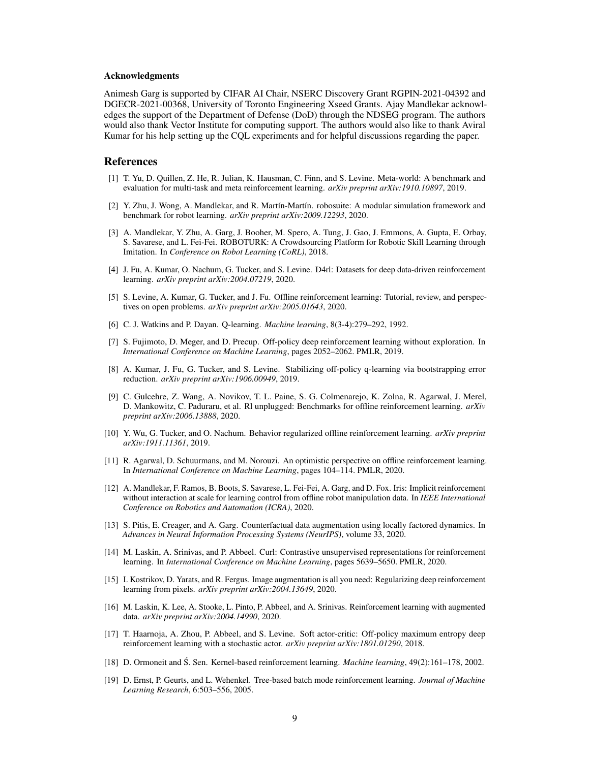#### <span id="page-8-0"></span>Acknowledgments

Animesh Garg is supported by CIFAR AI Chair, NSERC Discovery Grant RGPIN-2021-04392 and DGECR-2021-00368, University of Toronto Engineering Xseed Grants. Ajay Mandlekar acknowledges the support of the Department of Defense (DoD) through the NDSEG program. The authors would also thank Vector Institute for computing support. The authors would also like to thank Aviral Kumar for his help setting up the CQL experiments and for helpful discussions regarding the paper.

#### References

- [1] T. Yu, D. Quillen, Z. He, R. Julian, K. Hausman, C. Finn, and S. Levine. Meta-world: A benchmark and evaluation for multi-task and meta reinforcement learning. *arXiv preprint arXiv:1910.10897*, 2019.
- [2] Y. Zhu, J. Wong, A. Mandlekar, and R. Martín-Martín. robosuite: A modular simulation framework and benchmark for robot learning. *arXiv preprint arXiv:2009.12293*, 2020.
- [3] A. Mandlekar, Y. Zhu, A. Garg, J. Booher, M. Spero, A. Tung, J. Gao, J. Emmons, A. Gupta, E. Orbay, S. Savarese, and L. Fei-Fei. ROBOTURK: A Crowdsourcing Platform for Robotic Skill Learning through Imitation. In *Conference on Robot Learning (CoRL)*, 2018.
- [4] J. Fu, A. Kumar, O. Nachum, G. Tucker, and S. Levine. D4rl: Datasets for deep data-driven reinforcement learning. *arXiv preprint arXiv:2004.07219*, 2020.
- [5] S. Levine, A. Kumar, G. Tucker, and J. Fu. Offline reinforcement learning: Tutorial, review, and perspectives on open problems. *arXiv preprint arXiv:2005.01643*, 2020.
- [6] C. J. Watkins and P. Dayan. Q-learning. *Machine learning*, 8(3-4):279–292, 1992.
- [7] S. Fujimoto, D. Meger, and D. Precup. Off-policy deep reinforcement learning without exploration. In *International Conference on Machine Learning*, pages 2052–2062. PMLR, 2019.
- [8] A. Kumar, J. Fu, G. Tucker, and S. Levine. Stabilizing off-policy q-learning via bootstrapping error reduction. *arXiv preprint arXiv:1906.00949*, 2019.
- [9] C. Gulcehre, Z. Wang, A. Novikov, T. L. Paine, S. G. Colmenarejo, K. Zolna, R. Agarwal, J. Merel, D. Mankowitz, C. Paduraru, et al. Rl unplugged: Benchmarks for offline reinforcement learning. *arXiv preprint arXiv:2006.13888*, 2020.
- [10] Y. Wu, G. Tucker, and O. Nachum. Behavior regularized offline reinforcement learning. *arXiv preprint arXiv:1911.11361*, 2019.
- [11] R. Agarwal, D. Schuurmans, and M. Norouzi. An optimistic perspective on offline reinforcement learning. In *International Conference on Machine Learning*, pages 104–114. PMLR, 2020.
- [12] A. Mandlekar, F. Ramos, B. Boots, S. Savarese, L. Fei-Fei, A. Garg, and D. Fox. Iris: Implicit reinforcement without interaction at scale for learning control from offline robot manipulation data. In *IEEE International Conference on Robotics and Automation (ICRA)*, 2020.
- [13] S. Pitis, E. Creager, and A. Garg. Counterfactual data augmentation using locally factored dynamics. In *Advances in Neural Information Processing Systems (NeurIPS)*, volume 33, 2020.
- [14] M. Laskin, A. Srinivas, and P. Abbeel. Curl: Contrastive unsupervised representations for reinforcement learning. In *International Conference on Machine Learning*, pages 5639–5650. PMLR, 2020.
- [15] I. Kostrikov, D. Yarats, and R. Fergus. Image augmentation is all you need: Regularizing deep reinforcement learning from pixels. *arXiv preprint arXiv:2004.13649*, 2020.
- [16] M. Laskin, K. Lee, A. Stooke, L. Pinto, P. Abbeel, and A. Srinivas. Reinforcement learning with augmented data. *arXiv preprint arXiv:2004.14990*, 2020.
- [17] T. Haarnoja, A. Zhou, P. Abbeel, and S. Levine. Soft actor-critic: Off-policy maximum entropy deep reinforcement learning with a stochastic actor. *arXiv preprint arXiv:1801.01290*, 2018.
- [18] D. Ormoneit and Ś. Sen. Kernel-based reinforcement learning. *Machine learning*, 49(2):161–178, 2002.
- [19] D. Ernst, P. Geurts, and L. Wehenkel. Tree-based batch mode reinforcement learning. *Journal of Machine Learning Research*, 6:503–556, 2005.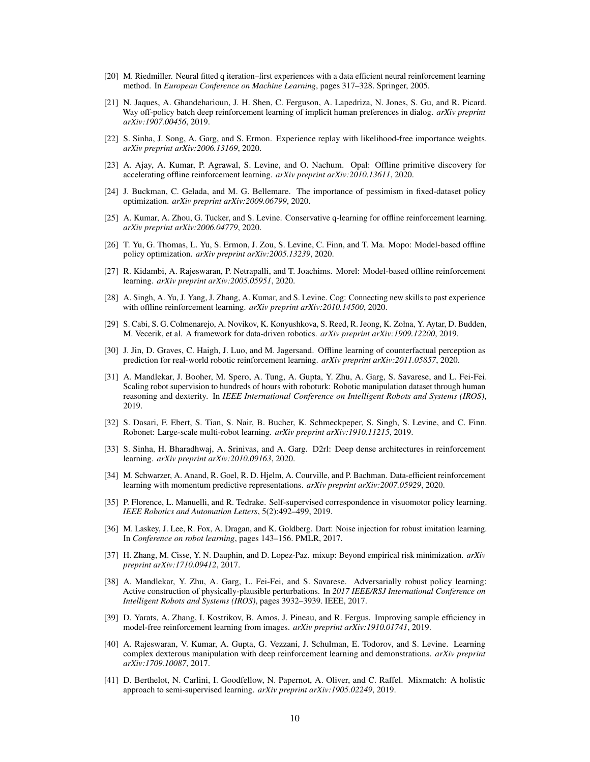- <span id="page-9-0"></span>[20] M. Riedmiller. Neural fitted q iteration–first experiences with a data efficient neural reinforcement learning method. In *European Conference on Machine Learning*, pages 317–328. Springer, 2005.
- [21] N. Jaques, A. Ghandeharioun, J. H. Shen, C. Ferguson, A. Lapedriza, N. Jones, S. Gu, and R. Picard. Way off-policy batch deep reinforcement learning of implicit human preferences in dialog. *arXiv preprint arXiv:1907.00456*, 2019.
- [22] S. Sinha, J. Song, A. Garg, and S. Ermon. Experience replay with likelihood-free importance weights. *arXiv preprint arXiv:2006.13169*, 2020.
- [23] A. Ajay, A. Kumar, P. Agrawal, S. Levine, and O. Nachum. Opal: Offline primitive discovery for accelerating offline reinforcement learning. *arXiv preprint arXiv:2010.13611*, 2020.
- [24] J. Buckman, C. Gelada, and M. G. Bellemare. The importance of pessimism in fixed-dataset policy optimization. *arXiv preprint arXiv:2009.06799*, 2020.
- [25] A. Kumar, A. Zhou, G. Tucker, and S. Levine. Conservative q-learning for offline reinforcement learning. *arXiv preprint arXiv:2006.04779*, 2020.
- [26] T. Yu, G. Thomas, L. Yu, S. Ermon, J. Zou, S. Levine, C. Finn, and T. Ma. Mopo: Model-based offline policy optimization. *arXiv preprint arXiv:2005.13239*, 2020.
- [27] R. Kidambi, A. Rajeswaran, P. Netrapalli, and T. Joachims. Morel: Model-based offline reinforcement learning. *arXiv preprint arXiv:2005.05951*, 2020.
- [28] A. Singh, A. Yu, J. Yang, J. Zhang, A. Kumar, and S. Levine. Cog: Connecting new skills to past experience with offline reinforcement learning. *arXiv preprint arXiv:2010.14500*, 2020.
- [29] S. Cabi, S. G. Colmenarejo, A. Novikov, K. Konyushkova, S. Reed, R. Jeong, K. Zołna, Y. Aytar, D. Budden, M. Vecerik, et al. A framework for data-driven robotics. *arXiv preprint arXiv:1909.12200*, 2019.
- [30] J. Jin, D. Graves, C. Haigh, J. Luo, and M. Jagersand. Offline learning of counterfactual perception as prediction for real-world robotic reinforcement learning. *arXiv preprint arXiv:2011.05857*, 2020.
- [31] A. Mandlekar, J. Booher, M. Spero, A. Tung, A. Gupta, Y. Zhu, A. Garg, S. Savarese, and L. Fei-Fei. Scaling robot supervision to hundreds of hours with roboturk: Robotic manipulation dataset through human reasoning and dexterity. In *IEEE International Conference on Intelligent Robots and Systems (IROS)*, 2019.
- [32] S. Dasari, F. Ebert, S. Tian, S. Nair, B. Bucher, K. Schmeckpeper, S. Singh, S. Levine, and C. Finn. Robonet: Large-scale multi-robot learning. *arXiv preprint arXiv:1910.11215*, 2019.
- [33] S. Sinha, H. Bharadhwaj, A. Srinivas, and A. Garg. D2rl: Deep dense architectures in reinforcement learning. *arXiv preprint arXiv:2010.09163*, 2020.
- [34] M. Schwarzer, A. Anand, R. Goel, R. D. Hjelm, A. Courville, and P. Bachman. Data-efficient reinforcement learning with momentum predictive representations. *arXiv preprint arXiv:2007.05929*, 2020.
- [35] P. Florence, L. Manuelli, and R. Tedrake. Self-supervised correspondence in visuomotor policy learning. *IEEE Robotics and Automation Letters*, 5(2):492–499, 2019.
- [36] M. Laskey, J. Lee, R. Fox, A. Dragan, and K. Goldberg. Dart: Noise injection for robust imitation learning. In *Conference on robot learning*, pages 143–156. PMLR, 2017.
- [37] H. Zhang, M. Cisse, Y. N. Dauphin, and D. Lopez-Paz. mixup: Beyond empirical risk minimization. *arXiv preprint arXiv:1710.09412*, 2017.
- [38] A. Mandlekar, Y. Zhu, A. Garg, L. Fei-Fei, and S. Savarese. Adversarially robust policy learning: Active construction of physically-plausible perturbations. In *2017 IEEE/RSJ International Conference on Intelligent Robots and Systems (IROS)*, pages 3932–3939. IEEE, 2017.
- [39] D. Yarats, A. Zhang, I. Kostrikov, B. Amos, J. Pineau, and R. Fergus. Improving sample efficiency in model-free reinforcement learning from images. *arXiv preprint arXiv:1910.01741*, 2019.
- [40] A. Rajeswaran, V. Kumar, A. Gupta, G. Vezzani, J. Schulman, E. Todorov, and S. Levine. Learning complex dexterous manipulation with deep reinforcement learning and demonstrations. *arXiv preprint arXiv:1709.10087*, 2017.
- [41] D. Berthelot, N. Carlini, I. Goodfellow, N. Papernot, A. Oliver, and C. Raffel. Mixmatch: A holistic approach to semi-supervised learning. *arXiv preprint arXiv:1905.02249*, 2019.